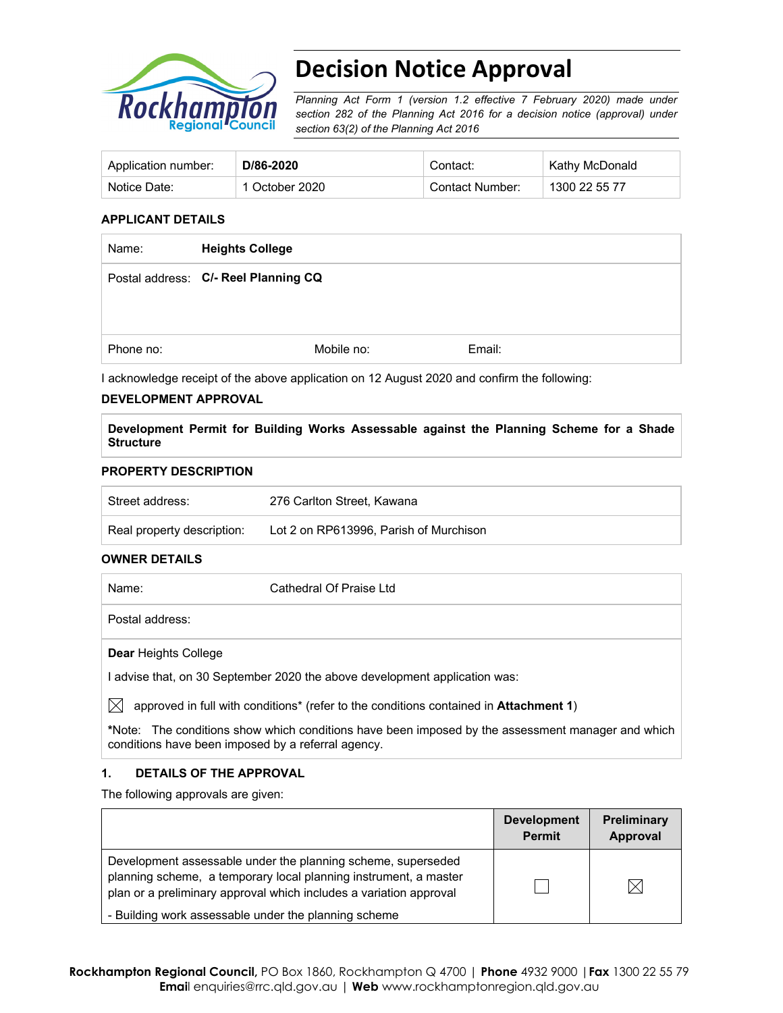

# **Decision Notice Approval**

*Planning Act Form 1 (version 1.2 effective 7 February 2020) made under section 282 of the Planning Act 2016 for a decision notice (approval) under section 63(2) of the Planning Act 2016*

| Application number: | D/86-2020      | Contact:        | Kathy McDonald |
|---------------------|----------------|-----------------|----------------|
| Notice Date:        | 1 October 2020 | Contact Number: | 1300 22 55 77  |

### **APPLICANT DETAILS**

| Name:     | <b>Heights College</b>               |        |  |
|-----------|--------------------------------------|--------|--|
|           | Postal address: C/- Reel Planning CQ |        |  |
|           |                                      |        |  |
| Phone no: | Mobile no:                           | Email: |  |

I acknowledge receipt of the above application on 12 August 2020 and confirm the following:

#### **DEVELOPMENT APPROVAL**

**Development Permit for Building Works Assessable against the Planning Scheme for a Shade Structure** 

# **PROPERTY DESCRIPTION**

| Street address:            | 276 Carlton Street, Kawana             |
|----------------------------|----------------------------------------|
| Real property description: | Lot 2 on RP613996, Parish of Murchison |

# **OWNER DETAILS**

| Name:                       | Cathedral Of Praise Ltd                                                                           |
|-----------------------------|---------------------------------------------------------------------------------------------------|
| Postal address:             |                                                                                                   |
| <b>Dear Heights College</b> |                                                                                                   |
|                             | I advise that, on 30 September 2020 the above development application was:                        |
| IXI                         | approved in full with conditions* (refer to the conditions contained in Attachment 1)             |
|                             | *Note: The conditions show which conditions have been imposed by the assessment manager and which |

# conditions have been imposed by a referral agency. **1. DETAILS OF THE APPROVAL**

The following approvals are given:

|                                                                                                                                                                                                        | <b>Development</b><br><b>Permit</b> | <b>Preliminary</b><br>Approval |
|--------------------------------------------------------------------------------------------------------------------------------------------------------------------------------------------------------|-------------------------------------|--------------------------------|
| Development assessable under the planning scheme, superseded<br>planning scheme, a temporary local planning instrument, a master<br>plan or a preliminary approval which includes a variation approval |                                     |                                |
| - Building work assessable under the planning scheme                                                                                                                                                   |                                     |                                |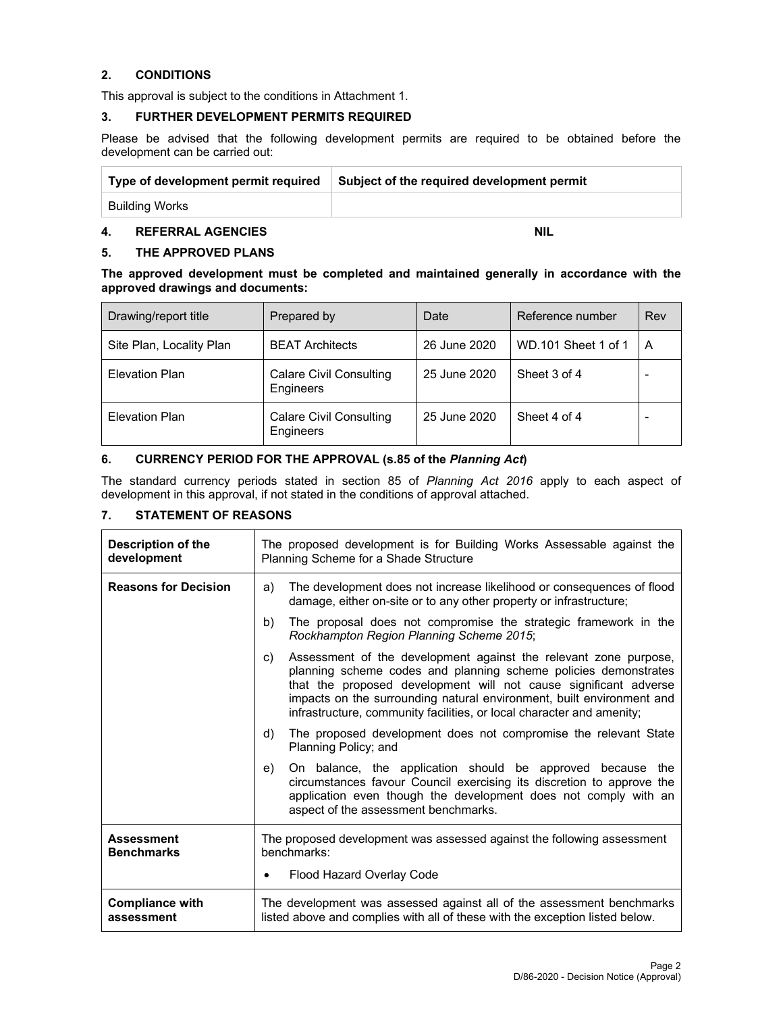# **2. CONDITIONS**

This approval is subject to the conditions in Attachment 1.

### **3. FURTHER DEVELOPMENT PERMITS REQUIRED**

Please be advised that the following development permits are required to be obtained before the development can be carried out:

| Type of development permit required | Subject of the required development permit |
|-------------------------------------|--------------------------------------------|
| Building Works                      |                                            |

# **4. REFERRAL AGENCIES** NIL

# **5. THE APPROVED PLANS**

**The approved development must be completed and maintained generally in accordance with the approved drawings and documents:** 

| Drawing/report title     | Prepared by                          | Date         | Reference number    | Rev                     |
|--------------------------|--------------------------------------|--------------|---------------------|-------------------------|
| Site Plan, Locality Plan | <b>BEAT Architects</b>               | 26 June 2020 | WD.101 Sheet 1 of 1 | $\overline{\mathsf{A}}$ |
| <b>Elevation Plan</b>    | Calare Civil Consulting<br>Engineers | 25 June 2020 | Sheet 3 of 4        |                         |
| Elevation Plan           | Calare Civil Consulting<br>Engineers | 25 June 2020 | Sheet 4 of 4        |                         |

# **6. CURRENCY PERIOD FOR THE APPROVAL (s.85 of the** *Planning Act***)**

The standard currency periods stated in section 85 of *Planning Act 2016* apply to each aspect of development in this approval, if not stated in the conditions of approval attached.

# **7. STATEMENT OF REASONS**

| Description of the<br>development      | The proposed development is for Building Works Assessable against the<br>Planning Scheme for a Shade Structure                                                                                                                                                                                                                                                  |  |  |
|----------------------------------------|-----------------------------------------------------------------------------------------------------------------------------------------------------------------------------------------------------------------------------------------------------------------------------------------------------------------------------------------------------------------|--|--|
| <b>Reasons for Decision</b>            | The development does not increase likelihood or consequences of flood<br>a)<br>damage, either on-site or to any other property or infrastructure;                                                                                                                                                                                                               |  |  |
|                                        | b)<br>The proposal does not compromise the strategic framework in the<br>Rockhampton Region Planning Scheme 2015;                                                                                                                                                                                                                                               |  |  |
|                                        | Assessment of the development against the relevant zone purpose,<br>C)<br>planning scheme codes and planning scheme policies demonstrates<br>that the proposed development will not cause significant adverse<br>impacts on the surrounding natural environment, built environment and<br>infrastructure, community facilities, or local character and amenity; |  |  |
|                                        | The proposed development does not compromise the relevant State<br>d)<br>Planning Policy; and                                                                                                                                                                                                                                                                   |  |  |
|                                        | On balance, the application should be approved because the<br>e)<br>circumstances favour Council exercising its discretion to approve the<br>application even though the development does not comply with an<br>aspect of the assessment benchmarks.                                                                                                            |  |  |
| <b>Assessment</b><br><b>Benchmarks</b> | The proposed development was assessed against the following assessment<br>benchmarks:                                                                                                                                                                                                                                                                           |  |  |
|                                        | Flood Hazard Overlay Code<br>$\bullet$                                                                                                                                                                                                                                                                                                                          |  |  |
| <b>Compliance with</b><br>assessment   | The development was assessed against all of the assessment benchmarks<br>listed above and complies with all of these with the exception listed below.                                                                                                                                                                                                           |  |  |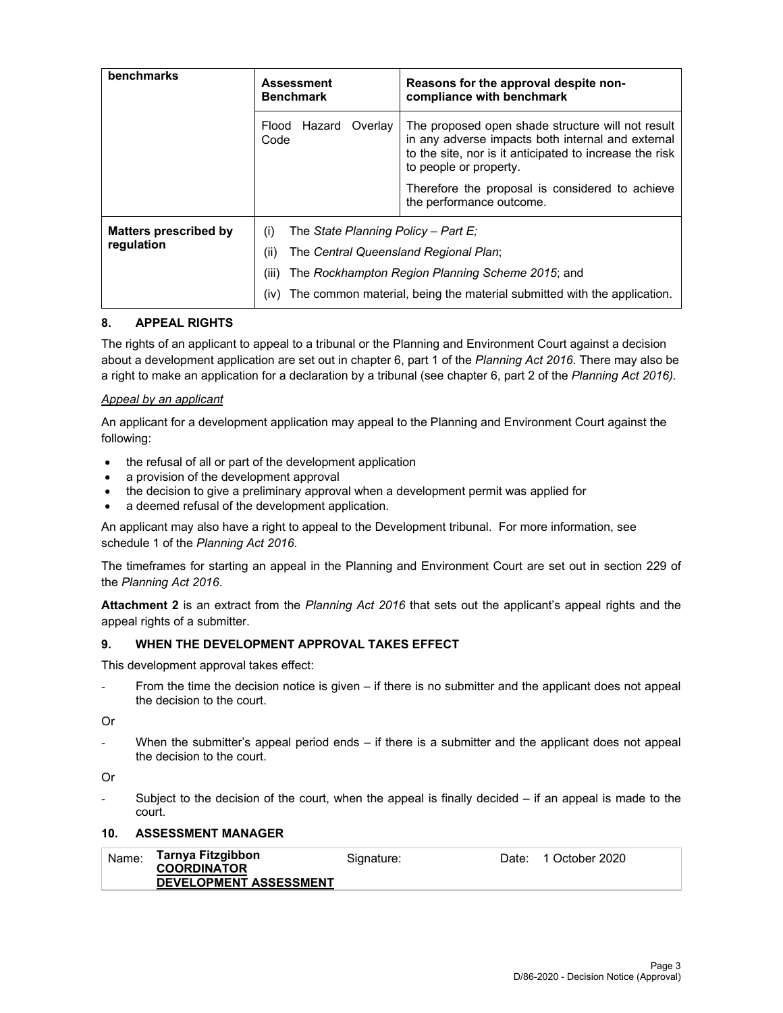| benchmarks                          | <b>Assessment</b><br><b>Benchmark</b>                                                                        | Reasons for the approval despite non-<br>compliance with benchmark                                                                                                                          |  |
|-------------------------------------|--------------------------------------------------------------------------------------------------------------|---------------------------------------------------------------------------------------------------------------------------------------------------------------------------------------------|--|
|                                     | Flood<br>Hazard<br>Overlay<br>Code                                                                           | The proposed open shade structure will not result<br>in any adverse impacts both internal and external<br>to the site, nor is it anticipated to increase the risk<br>to people or property. |  |
|                                     |                                                                                                              | Therefore the proposal is considered to achieve<br>the performance outcome.                                                                                                                 |  |
| Matters prescribed by<br>regulation | The State Planning Policy – Part E:<br>(i)<br>(ii)<br>The Central Queensland Regional Plan;<br>(iii)<br>(iv) | The Rockhampton Region Planning Scheme 2015; and<br>The common material, being the material submitted with the application.                                                                 |  |

# **8. APPEAL RIGHTS**

The rights of an applicant to appeal to a tribunal or the Planning and Environment Court against a decision about a development application are set out in chapter 6, part 1 of the *Planning Act 2016*. There may also be a right to make an application for a declaration by a tribunal (see chapter 6, part 2 of the *Planning Act 2016).*

#### *Appeal by an applicant*

An applicant for a development application may appeal to the Planning and Environment Court against the following:

- the refusal of all or part of the development application
- a provision of the development approval
- the decision to give a preliminary approval when a development permit was applied for
- a deemed refusal of the development application.

An applicant may also have a right to appeal to the Development tribunal. For more information, see schedule 1 of the *Planning Act 2016*.

The timeframes for starting an appeal in the Planning and Environment Court are set out in section 229 of the *Planning Act 2016*.

**Attachment 2** is an extract from the *Planning Act 2016* that sets out the applicant's appeal rights and the appeal rights of a submitter.

#### **9. WHEN THE DEVELOPMENT APPROVAL TAKES EFFECT**

This development approval takes effect:

From the time the decision notice is given  $-$  if there is no submitter and the applicant does not appeal the decision to the court.

Or

When the submitter's appeal period ends  $-$  if there is a submitter and the applicant does not appeal the decision to the court.

Or

Subject to the decision of the court, when the appeal is finally decided  $-$  if an appeal is made to the court.

### **10. ASSESSMENT MANAGER**

| Name: | Tarnya Fitzgibbon<br><b>COORDINATOR</b> | Signature: | Date: | 1 October 2020 |
|-------|-----------------------------------------|------------|-------|----------------|
|       | <b>DEVELOPMENT ASSESSMENT</b>           |            |       |                |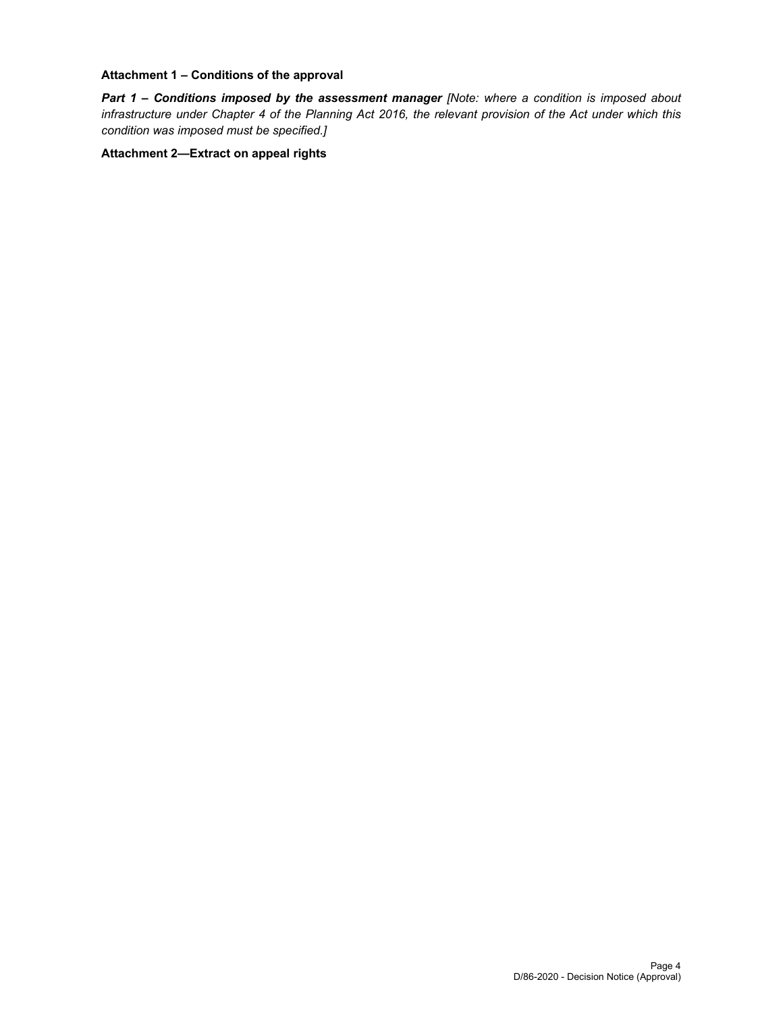### **Attachment 1 – Conditions of the approval**

*Part 1* **–** *Conditions imposed by the assessment manager [Note: where a condition is imposed about infrastructure under Chapter 4 of the Planning Act 2016, the relevant provision of the Act under which this condition was imposed must be specified.]*

### **Attachment 2—Extract on appeal rights**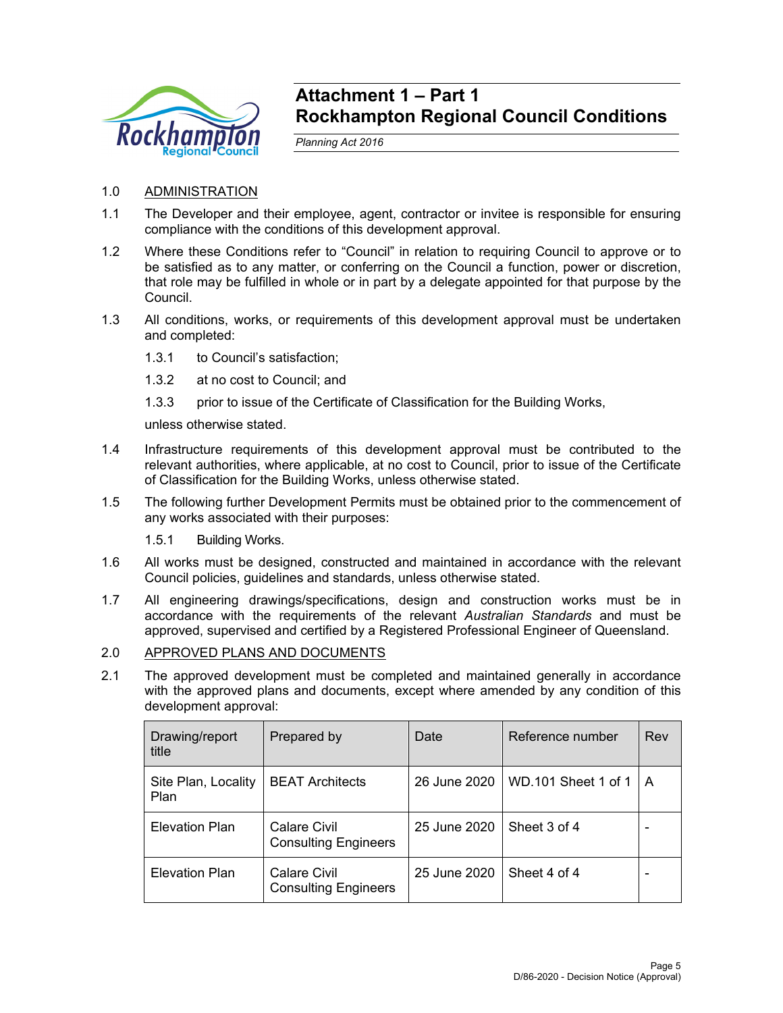

# **Attachment 1 – Part 1 Rockhampton Regional Council Conditions**

*Planning Act 2016* 

- 1.0 ADMINISTRATION
- 1.1 The Developer and their employee, agent, contractor or invitee is responsible for ensuring compliance with the conditions of this development approval.
- 1.2 Where these Conditions refer to "Council" in relation to requiring Council to approve or to be satisfied as to any matter, or conferring on the Council a function, power or discretion, that role may be fulfilled in whole or in part by a delegate appointed for that purpose by the Council.
- 1.3 All conditions, works, or requirements of this development approval must be undertaken and completed:
	- 1.3.1 to Council's satisfaction;
	- 1.3.2 at no cost to Council; and
	- 1.3.3 prior to issue of the Certificate of Classification for the Building Works,

unless otherwise stated.

- 1.4 Infrastructure requirements of this development approval must be contributed to the relevant authorities, where applicable, at no cost to Council, prior to issue of the Certificate of Classification for the Building Works, unless otherwise stated.
- 1.5 The following further Development Permits must be obtained prior to the commencement of any works associated with their purposes:
	- 1.5.1 Building Works.
- 1.6 All works must be designed, constructed and maintained in accordance with the relevant Council policies, guidelines and standards, unless otherwise stated.
- 1.7 All engineering drawings/specifications, design and construction works must be in accordance with the requirements of the relevant *Australian Standards* and must be approved, supervised and certified by a Registered Professional Engineer of Queensland.
- 2.0 APPROVED PLANS AND DOCUMENTS
- 2.1 The approved development must be completed and maintained generally in accordance with the approved plans and documents, except where amended by any condition of this development approval:

| Drawing/report<br>title     | Prepared by                                        | Date         | Reference number    | Rev |
|-----------------------------|----------------------------------------------------|--------------|---------------------|-----|
| Site Plan, Locality<br>Plan | <b>BEAT Architects</b>                             | 26 June 2020 | WD.101 Sheet 1 of 1 | A   |
| <b>Elevation Plan</b>       | Calare Civil<br><b>Consulting Engineers</b>        | 25 June 2020 | Sheet 3 of 4        |     |
| <b>Elevation Plan</b>       | <b>Calare Civil</b><br><b>Consulting Engineers</b> | 25 June 2020 | Sheet 4 of 4        |     |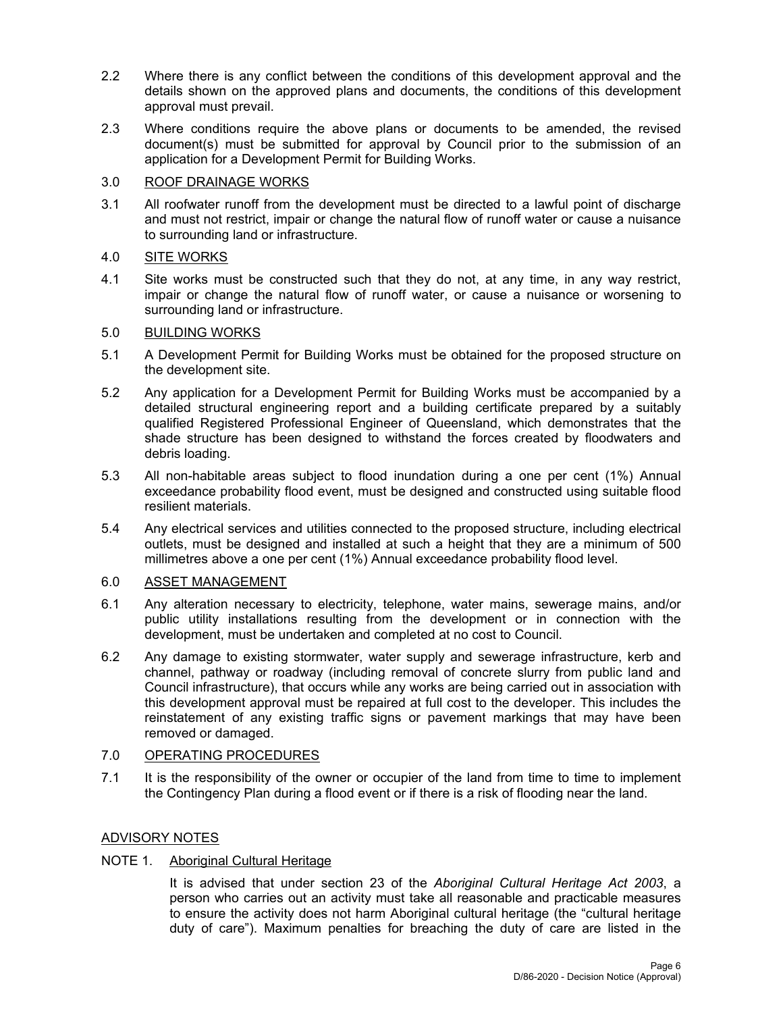- 2.2 Where there is any conflict between the conditions of this development approval and the details shown on the approved plans and documents, the conditions of this development approval must prevail.
- 2.3 Where conditions require the above plans or documents to be amended, the revised document(s) must be submitted for approval by Council prior to the submission of an application for a Development Permit for Building Works.

# 3.0 ROOF DRAINAGE WORKS

3.1 All roofwater runoff from the development must be directed to a lawful point of discharge and must not restrict, impair or change the natural flow of runoff water or cause a nuisance to surrounding land or infrastructure.

# 4.0 SITE WORKS

4.1 Site works must be constructed such that they do not, at any time, in any way restrict, impair or change the natural flow of runoff water, or cause a nuisance or worsening to surrounding land or infrastructure.

# 5.0 BUILDING WORKS

- 5.1 A Development Permit for Building Works must be obtained for the proposed structure on the development site.
- 5.2 Any application for a Development Permit for Building Works must be accompanied by a detailed structural engineering report and a building certificate prepared by a suitably qualified Registered Professional Engineer of Queensland, which demonstrates that the shade structure has been designed to withstand the forces created by floodwaters and debris loading.
- 5.3 All non-habitable areas subject to flood inundation during a one per cent (1%) Annual exceedance probability flood event, must be designed and constructed using suitable flood resilient materials.
- 5.4 Any electrical services and utilities connected to the proposed structure, including electrical outlets, must be designed and installed at such a height that they are a minimum of 500 millimetres above a one per cent (1%) Annual exceedance probability flood level.

# 6.0 ASSET MANAGEMENT

- 6.1 Any alteration necessary to electricity, telephone, water mains, sewerage mains, and/or public utility installations resulting from the development or in connection with the development, must be undertaken and completed at no cost to Council.
- 6.2 Any damage to existing stormwater, water supply and sewerage infrastructure, kerb and channel, pathway or roadway (including removal of concrete slurry from public land and Council infrastructure), that occurs while any works are being carried out in association with this development approval must be repaired at full cost to the developer. This includes the reinstatement of any existing traffic signs or pavement markings that may have been removed or damaged.

# 7.0 OPERATING PROCEDURES

7.1 It is the responsibility of the owner or occupier of the land from time to time to implement the Contingency Plan during a flood event or if there is a risk of flooding near the land.

# ADVISORY NOTES

# NOTE 1. Aboriginal Cultural Heritage

It is advised that under section 23 of the *Aboriginal Cultural Heritage Act 2003*, a person who carries out an activity must take all reasonable and practicable measures to ensure the activity does not harm Aboriginal cultural heritage (the "cultural heritage duty of care"). Maximum penalties for breaching the duty of care are listed in the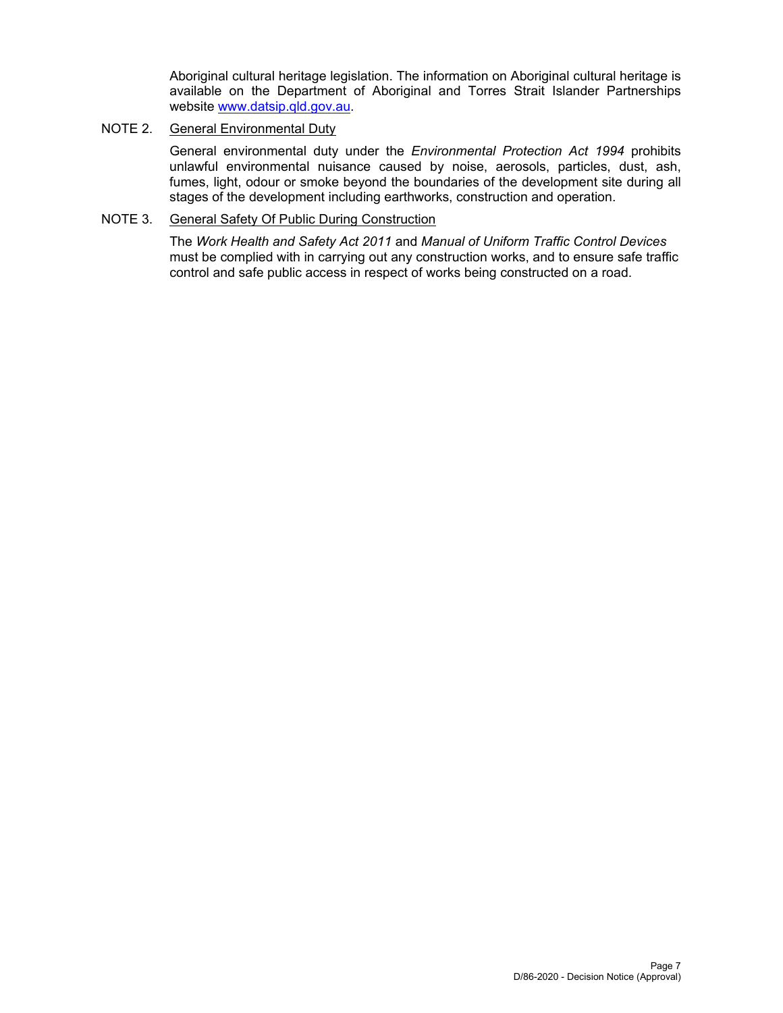Aboriginal cultural heritage legislation. The information on Aboriginal cultural heritage is available on the Department of Aboriginal and Torres Strait Islander Partnerships website www.datsip.qld.gov.au.

# NOTE 2. General Environmental Duty

General environmental duty under the *Environmental Protection Act 1994* prohibits unlawful environmental nuisance caused by noise, aerosols, particles, dust, ash, fumes, light, odour or smoke beyond the boundaries of the development site during all stages of the development including earthworks, construction and operation.

# NOTE 3. General Safety Of Public During Construction

The *Work Health and Safety Act 2011* and *Manual of Uniform Traffic Control Devices* must be complied with in carrying out any construction works, and to ensure safe traffic control and safe public access in respect of works being constructed on a road.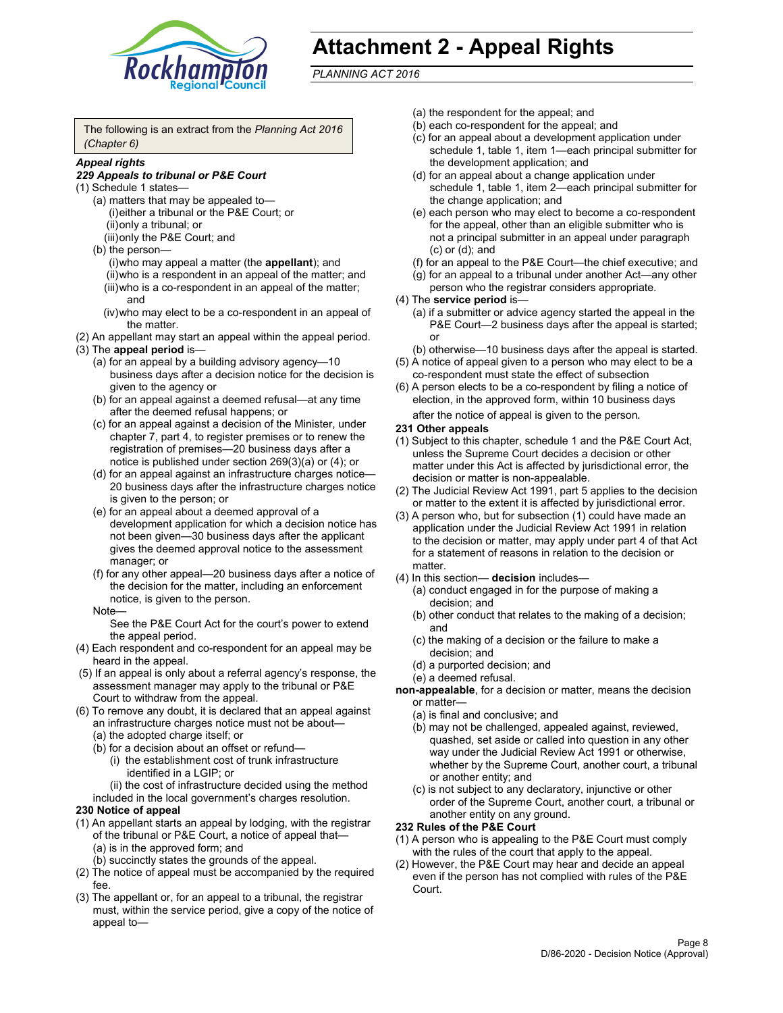

# **Attachment 2 - Appeal Rights**

*PLANNING ACT 2016*

The following is an extract from the *Planning Act 2016 (Chapter 6)*

# *Appeal rights*

#### *229 Appeals to tribunal or P&E Court*

- (1) Schedule 1 states—
	- (a) matters that may be appealed to— (i) either a tribunal or the P&E Court; or (ii) only a tribunal; or (iii) only the P&E Court; and
	- (b) the person—
		- (i) who may appeal a matter (the **appellant**); and
		- (ii) who is a respondent in an appeal of the matter; and (iii) who is a co-respondent in an appeal of the matter; and
		- (iv) who may elect to be a co-respondent in an appeal of the matter.
- (2) An appellant may start an appeal within the appeal period.
- (3) The **appeal period** is—
	- (a) for an appeal by a building advisory agency—10 business days after a decision notice for the decision is given to the agency or
	- (b) for an appeal against a deemed refusal—at any time after the deemed refusal happens; or
	- (c) for an appeal against a decision of the Minister, under chapter 7, part 4, to register premises or to renew the registration of premises—20 business days after a notice is published under section 269(3)(a) or (4); or
	- (d) for an appeal against an infrastructure charges notice— 20 business days after the infrastructure charges notice is given to the person; or
	- (e) for an appeal about a deemed approval of a development application for which a decision notice has not been given—30 business days after the applicant gives the deemed approval notice to the assessment manager; or
	- (f) for any other appeal—20 business days after a notice of the decision for the matter, including an enforcement notice, is given to the person.

#### Note—

See the P&E Court Act for the court's power to extend the appeal period.

- (4) Each respondent and co-respondent for an appeal may be heard in the appeal.
- (5) If an appeal is only about a referral agency's response, the assessment manager may apply to the tribunal or P&E Court to withdraw from the appeal.
- (6) To remove any doubt, it is declared that an appeal against an infrastructure charges notice must not be about— (a) the adopted charge itself; or
	- (b) for a decision about an offset or refund—
		- (i) the establishment cost of trunk infrastructure identified in a LGIP; or
		- (ii) the cost of infrastructure decided using the method
	- included in the local government's charges resolution.

# **230 Notice of appeal**

- (1) An appellant starts an appeal by lodging, with the registrar of the tribunal or P&E Court, a notice of appeal that— (a) is in the approved form; and
	- (b) succinctly states the grounds of the appeal.
- (2) The notice of appeal must be accompanied by the required fee.
- (3) The appellant or, for an appeal to a tribunal, the registrar must, within the service period, give a copy of the notice of appeal to—
- (a) the respondent for the appeal; and
- (b) each co-respondent for the appeal; and
- (c) for an appeal about a development application under schedule 1, table 1, item 1—each principal submitter for the development application; and
- (d) for an appeal about a change application under schedule 1, table 1, item 2—each principal submitter for the change application; and
- (e) each person who may elect to become a co-respondent for the appeal, other than an eligible submitter who is not a principal submitter in an appeal under paragraph (c) or (d); and
- (f) for an appeal to the P&E Court—the chief executive; and
- (g) for an appeal to a tribunal under another Act—any other person who the registrar considers appropriate.
- (4) The **service period** is—
	- (a) if a submitter or advice agency started the appeal in the P&E Court-2 business days after the appeal is started; or
	- (b) otherwise—10 business days after the appeal is started.
- (5) A notice of appeal given to a person who may elect to be a co-respondent must state the effect of subsection
- (6) A person elects to be a co-respondent by filing a notice of election, in the approved form, within 10 business days
	- after the notice of appeal is given to the person*.*
- **231 Other appeals**
- (1) Subject to this chapter, schedule 1 and the P&E Court Act, unless the Supreme Court decides a decision or other matter under this Act is affected by jurisdictional error, the decision or matter is non-appealable.
- (2) The Judicial Review Act 1991, part 5 applies to the decision or matter to the extent it is affected by jurisdictional error.
- (3) A person who, but for subsection (1) could have made an application under the Judicial Review Act 1991 in relation to the decision or matter, may apply under part 4 of that Act for a statement of reasons in relation to the decision or matter.
- (4) In this section— **decision** includes—
	- (a) conduct engaged in for the purpose of making a decision; and
	- (b) other conduct that relates to the making of a decision; and
	- (c) the making of a decision or the failure to make a decision; and
	- (d) a purported decision; and
	- (e) a deemed refusal.

**non-appealable**, for a decision or matter, means the decision or matter—

- (a) is final and conclusive; and
- (b) may not be challenged, appealed against, reviewed, quashed, set aside or called into question in any other way under the Judicial Review Act 1991 or otherwise, whether by the Supreme Court, another court, a tribunal or another entity; and
- (c) is not subject to any declaratory, injunctive or other order of the Supreme Court, another court, a tribunal or another entity on any ground.

#### **232 Rules of the P&E Court**

- (1) A person who is appealing to the P&E Court must comply with the rules of the court that apply to the appeal.
- (2) However, the P&E Court may hear and decide an appeal even if the person has not complied with rules of the P&E Court.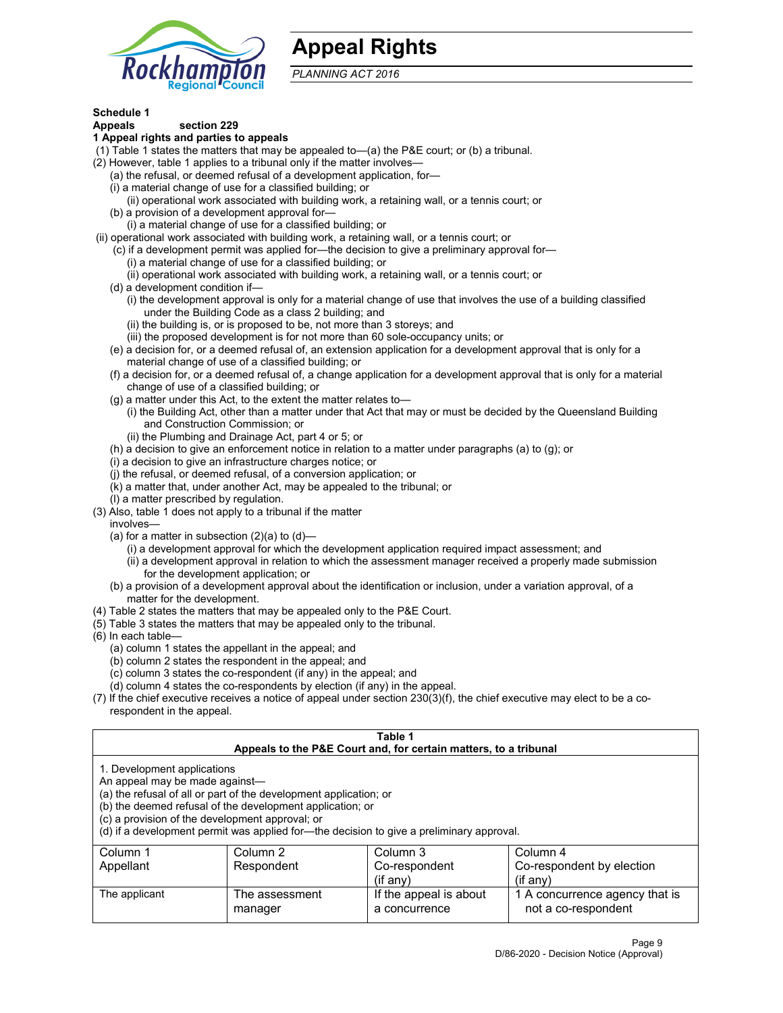

# **Appeal Rights**

*PLANNING ACT 2016*

# **Schedule 1**

# **Appeals section 229**

- **1 Appeal rights and parties to appeals**
- (1) Table 1 states the matters that may be appealed to—(a) the P&E court; or (b) a tribunal.
- (2) However, table 1 applies to a tribunal only if the matter involves—
	- (a) the refusal, or deemed refusal of a development application, for—
	- (i) a material change of use for a classified building; or
	- (ii) operational work associated with building work, a retaining wall, or a tennis court; or
	- (b) a provision of a development approval for—
	- (i) a material change of use for a classified building; or
- (ii) operational work associated with building work, a retaining wall, or a tennis court; or
	- (c) if a development permit was applied for—the decision to give a preliminary approval for— (i) a material change of use for a classified building; or
	- (ii) operational work associated with building work, a retaining wall, or a tennis court; or
	- (d) a development condition if—
		- (i) the development approval is only for a material change of use that involves the use of a building classified under the Building Code as a class 2 building; and
		- (ii) the building is, or is proposed to be, not more than 3 storeys; and
		- (iii) the proposed development is for not more than 60 sole-occupancy units; or
	- (e) a decision for, or a deemed refusal of, an extension application for a development approval that is only for a material change of use of a classified building; or
	- (f) a decision for, or a deemed refusal of, a change application for a development approval that is only for a material change of use of a classified building; or
	- (g) a matter under this Act, to the extent the matter relates to—
		- (i) the Building Act, other than a matter under that Act that may or must be decided by the Queensland Building and Construction Commission; or
		- (ii) the Plumbing and Drainage Act, part 4 or 5; or
	- (h) a decision to give an enforcement notice in relation to a matter under paragraphs (a) to (g); or
	- (i) a decision to give an infrastructure charges notice; or
	- (j) the refusal, or deemed refusal, of a conversion application; or
	- (k) a matter that, under another Act, may be appealed to the tribunal; or
	- (l) a matter prescribed by regulation.
- (3) Also, table 1 does not apply to a tribunal if the matter
	- involves—
		- (a) for a matter in subsection  $(2)(a)$  to  $(d)$ 
			- (i) a development approval for which the development application required impact assessment; and
			- (ii) a development approval in relation to which the assessment manager received a properly made submission for the development application; or
	- (b) a provision of a development approval about the identification or inclusion, under a variation approval, of a matter for the development.
- (4) Table 2 states the matters that may be appealed only to the P&E Court.
- (5) Table 3 states the matters that may be appealed only to the tribunal.
- (6) In each table—
	- (a) column 1 states the appellant in the appeal; and
	- (b) column 2 states the respondent in the appeal; and
	- (c) column 3 states the co-respondent (if any) in the appeal; and
	- (d) column 4 states the co-respondents by election (if any) in the appeal.
- (7) If the chief executive receives a notice of appeal under section 230(3)(f), the chief executive may elect to be a corespondent in the appeal.

| Table 1<br>Appeals to the P&E Court and, for certain matters, to a tribunal                                      |                                                                                                                                |                                                                                          |                                                       |  |  |
|------------------------------------------------------------------------------------------------------------------|--------------------------------------------------------------------------------------------------------------------------------|------------------------------------------------------------------------------------------|-------------------------------------------------------|--|--|
| 1. Development applications<br>An appeal may be made against-<br>(c) a provision of the development approval; or | (a) the refusal of all or part of the development application; or<br>(b) the deemed refusal of the development application; or | (d) if a development permit was applied for—the decision to give a preliminary approval. |                                                       |  |  |
| Column 1                                                                                                         | Column 2                                                                                                                       | Column 3                                                                                 | Column 4                                              |  |  |
| Appellant                                                                                                        | Respondent<br>Co-respondent<br>Co-respondent by election                                                                       |                                                                                          |                                                       |  |  |
| $(if$ any)<br>$($ if any $)$                                                                                     |                                                                                                                                |                                                                                          |                                                       |  |  |
| The applicant                                                                                                    | The assessment<br>manager                                                                                                      | If the appeal is about<br>a concurrence                                                  | 1 A concurrence agency that is<br>not a co-respondent |  |  |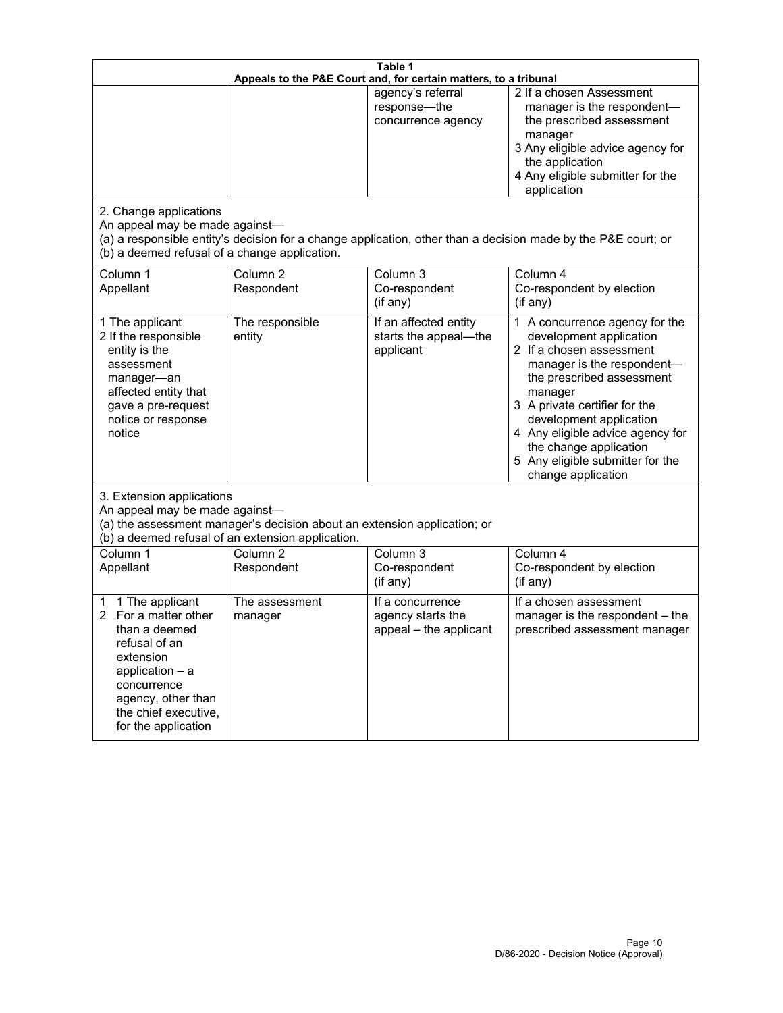| Table 1<br>Appeals to the P&E Court and, for certain matters, to a tribunal                                                                                                                        |                                     |                                                                 |                                                                                                                                                                                                                                                                                                                                                 |  |
|----------------------------------------------------------------------------------------------------------------------------------------------------------------------------------------------------|-------------------------------------|-----------------------------------------------------------------|-------------------------------------------------------------------------------------------------------------------------------------------------------------------------------------------------------------------------------------------------------------------------------------------------------------------------------------------------|--|
| 2. Change applications<br>An appeal may be made against-                                                                                                                                           |                                     | agency's referral<br>response-the<br>concurrence agency         | 2 If a chosen Assessment<br>manager is the respondent-<br>the prescribed assessment<br>manager<br>3 Any eligible advice agency for<br>the application<br>4 Any eligible submitter for the<br>application<br>(a) a responsible entity's decision for a change application, other than a decision made by the P&E court; or                       |  |
| (b) a deemed refusal of a change application.<br>Column 1<br>Appellant                                                                                                                             | Column $\overline{2}$<br>Respondent | Column 3<br>Co-respondent<br>(if any)                           | Column 4<br>Co-respondent by election<br>(if any)                                                                                                                                                                                                                                                                                               |  |
| 1 The applicant<br>2 If the responsible<br>entity is the<br>assessment<br>manager-an<br>affected entity that<br>gave a pre-request<br>notice or response<br>notice                                 | The responsible<br>entity           | If an affected entity<br>starts the appeal-the<br>applicant     | 1 A concurrence agency for the<br>development application<br>2 If a chosen assessment<br>manager is the respondent-<br>the prescribed assessment<br>manager<br>3 A private certifier for the<br>development application<br>4 Any eligible advice agency for<br>the change application<br>5 Any eligible submitter for the<br>change application |  |
| 3. Extension applications<br>An appeal may be made against-<br>(a) the assessment manager's decision about an extension application; or<br>(b) a deemed refusal of an extension application.       |                                     |                                                                 |                                                                                                                                                                                                                                                                                                                                                 |  |
| Column 1<br>Appellant                                                                                                                                                                              | Column <sub>2</sub><br>Respondent   | Column 3<br>Co-respondent<br>(if any)                           | Column 4<br>Co-respondent by election<br>(if any)                                                                                                                                                                                                                                                                                               |  |
| 1 The applicant<br>1<br>For a matter other<br>than a deemed<br>refusal of an<br>extension<br>application $-$ a<br>concurrence<br>agency, other than<br>the chief executive,<br>for the application | The assessment<br>manager           | If a concurrence<br>agency starts the<br>appeal - the applicant | If a chosen assessment<br>manager is the respondent - the<br>prescribed assessment manager                                                                                                                                                                                                                                                      |  |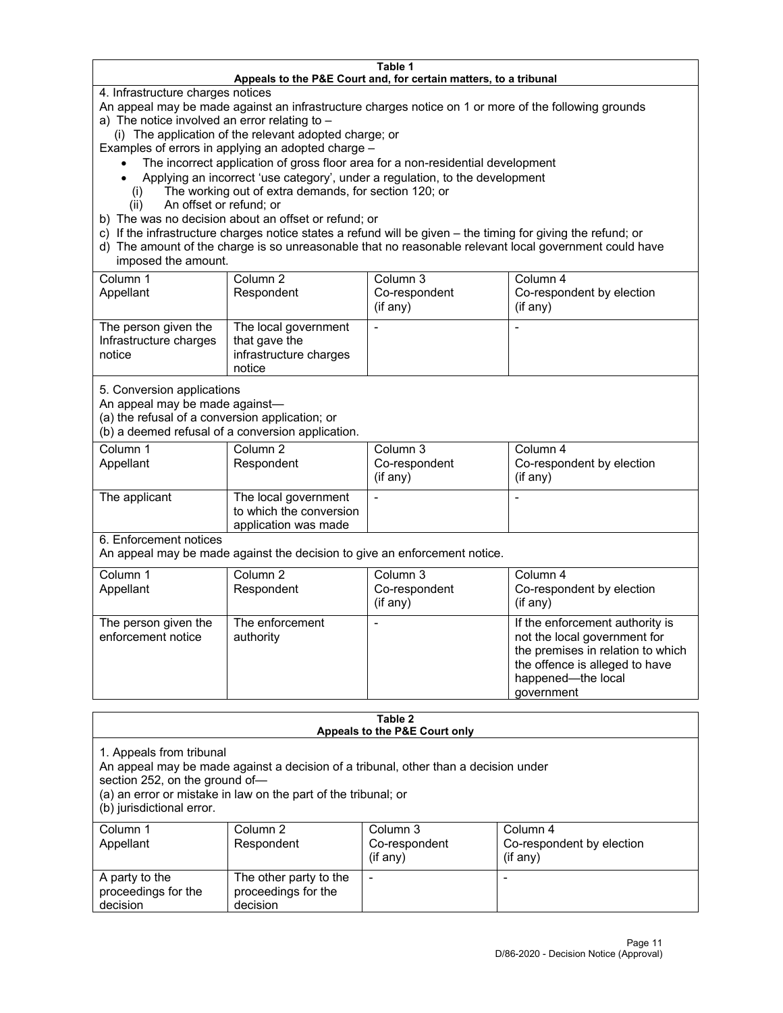#### **Table 1 Appeals to the P&E Court and, for certain matters, to a tribunal**

4. Infrastructure charges notices

An appeal may be made against an infrastructure charges notice on 1 or more of the following grounds

- a) The notice involved an error relating to
	- (i) The application of the relevant adopted charge; or

Examples of errors in applying an adopted charge –

- The incorrect application of gross floor area for a non-residential development
- Applying an incorrect 'use category', under a regulation, to the development
- (i) The working out of extra demands, for section 120; or
- (ii) An offset or refund; or
- b) The was no decision about an offset or refund; or
- c) If the infrastructure charges notice states a refund will be given the timing for giving the refund; or
- d) The amount of the charge is so unreasonable that no reasonable relevant local government could have imposed the amount.

| Column 1<br>Appellant                                    | Column 2<br>Respondent                                                    | Column 3<br>Co-respondent<br>(i f any) | Column 4<br>Co-respondent by election<br>(if any) |
|----------------------------------------------------------|---------------------------------------------------------------------------|----------------------------------------|---------------------------------------------------|
| The person given the<br>Infrastructure charges<br>notice | The local government<br>that gave the<br>infrastructure charges<br>notice |                                        |                                                   |

5. Conversion applications

An appeal may be made against—

(a) the refusal of a conversion application; or

(b) a deemed refusal of a conversion application.

| Column 1      | Column 2                | Column 3       | Column 4                  |
|---------------|-------------------------|----------------|---------------------------|
| Appellant     | Respondent              | Co-respondent  | Co-respondent by election |
|               |                         | $($ if any $)$ | (i f any)                 |
|               |                         |                |                           |
| The applicant | The local government    |                |                           |
|               | to which the conversion |                |                           |
|               | application was made    |                |                           |

6. Enforcement notices

An appeal may be made against the decision to give an enforcement notice.

| Column 1<br>Appellant                      | Column 2<br>Respondent       | Column 3<br>Co-respondent<br>(if any) | Column 4<br>Co-respondent by election<br>$($ if any $)$                                                                                                                    |
|--------------------------------------------|------------------------------|---------------------------------------|----------------------------------------------------------------------------------------------------------------------------------------------------------------------------|
| The person given the<br>enforcement notice | The enforcement<br>authority |                                       | If the enforcement authority is<br>not the local government for<br>the premises in relation to which<br>the offence is alleged to have<br>happened-the local<br>government |

#### **Table 2 Appeals to the P&E Court only**

1. Appeals from tribunal

An appeal may be made against a decision of a tribunal, other than a decision under

section 252, on the ground of—

(a) an error or mistake in law on the part of the tribunal; or

(b) jurisdictional error.

| Column 1<br>Appellant                             | Column 2<br>Respondent                                    | Column 3<br>Co-respondent<br>$(if$ any) | Column 4<br>Co-respondent by election<br>$(if$ any) |
|---------------------------------------------------|-----------------------------------------------------------|-----------------------------------------|-----------------------------------------------------|
| A party to the<br>proceedings for the<br>decision | The other party to the<br>proceedings for the<br>decision | $\overline{\phantom{a}}$                |                                                     |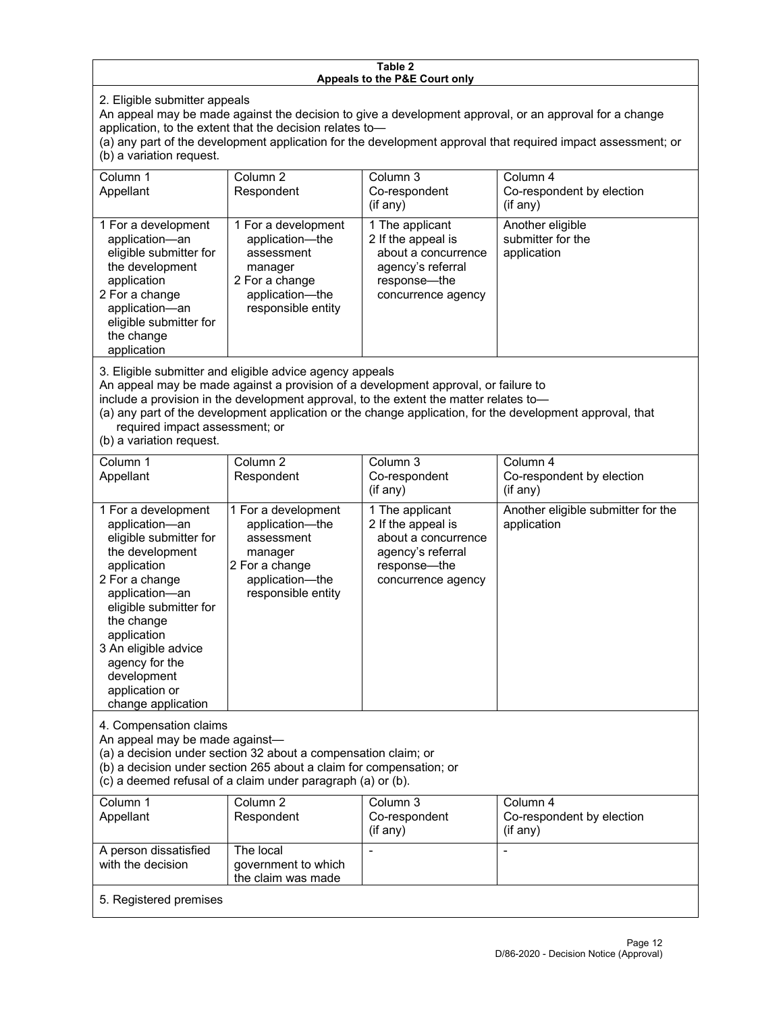#### **Table 2 Appeals to the P&E Court only**

2. Eligible submitter appeals

An appeal may be made against the decision to give a development approval, or an approval for a change application, to the extent that the decision relates to—

(a) any part of the development application for the development approval that required impact assessment; or (b) a variation request.

| Column 1<br>Appellant                                                                                                                                                                        | Column 2<br>Respondent                                                                                                     | Column 3<br>Co-respondent<br>(i f any)                                                                                  | Column 4<br>Co-respondent by election<br>$($ if any $)$ |
|----------------------------------------------------------------------------------------------------------------------------------------------------------------------------------------------|----------------------------------------------------------------------------------------------------------------------------|-------------------------------------------------------------------------------------------------------------------------|---------------------------------------------------------|
| 1 For a development<br>application-an<br>eligible submitter for<br>the development<br>application<br>2 For a change<br>application-an<br>eligible submitter for<br>the change<br>application | 1 For a development<br>application-the<br>assessment<br>manager<br>2 For a change<br>application-the<br>responsible entity | 1 The applicant<br>2 If the appeal is<br>about a concurrence<br>agency's referral<br>response—the<br>concurrence agency | Another eligible<br>submitter for the<br>application    |

3. Eligible submitter and eligible advice agency appeals

An appeal may be made against a provision of a development approval, or failure to

include a provision in the development approval, to the extent the matter relates to—

(a) any part of the development application or the change application, for the development approval, that required impact assessment; or

(b) a variation request.

| Column 1<br>Appellant                                                                                                                                                                                                                                                                         | Column <sub>2</sub><br>Respondent                                                                                          | Column 3<br>Co-respondent<br>(if any)                                                                                   | Column 4<br>Co-respondent by election<br>(if any) |
|-----------------------------------------------------------------------------------------------------------------------------------------------------------------------------------------------------------------------------------------------------------------------------------------------|----------------------------------------------------------------------------------------------------------------------------|-------------------------------------------------------------------------------------------------------------------------|---------------------------------------------------|
| 1 For a development<br>application-an<br>eligible submitter for<br>the development<br>application<br>2 For a change<br>application-an<br>eligible submitter for<br>the change<br>application<br>3 An eligible advice<br>agency for the<br>development<br>application or<br>change application | 1 For a development<br>application-the<br>assessment<br>manager<br>2 For a change<br>application-the<br>responsible entity | 1 The applicant<br>2 If the appeal is<br>about a concurrence<br>agency's referral<br>response-the<br>concurrence agency | Another eligible submitter for the<br>application |
| 4. Compensation claims<br>An appeal may be made against-<br>(a) a decision under section 32 about a compensation claim; or<br>(b) a decision under section 265 about a claim for compensation; or<br>(c) a deemed refusal of a claim under paragraph (a) or (b).                              |                                                                                                                            |                                                                                                                         |                                                   |
| Column <sub>1</sub><br>Appellant                                                                                                                                                                                                                                                              | Column <sub>2</sub><br>Respondent                                                                                          | Column <sub>3</sub><br>Co-respondent<br>(if any)                                                                        | Column 4<br>Co-respondent by election<br>(if any) |
| A person dissatisfied<br>with the decision                                                                                                                                                                                                                                                    | The local<br>government to which<br>the claim was made                                                                     |                                                                                                                         |                                                   |
| 5. Registered premises                                                                                                                                                                                                                                                                        |                                                                                                                            |                                                                                                                         |                                                   |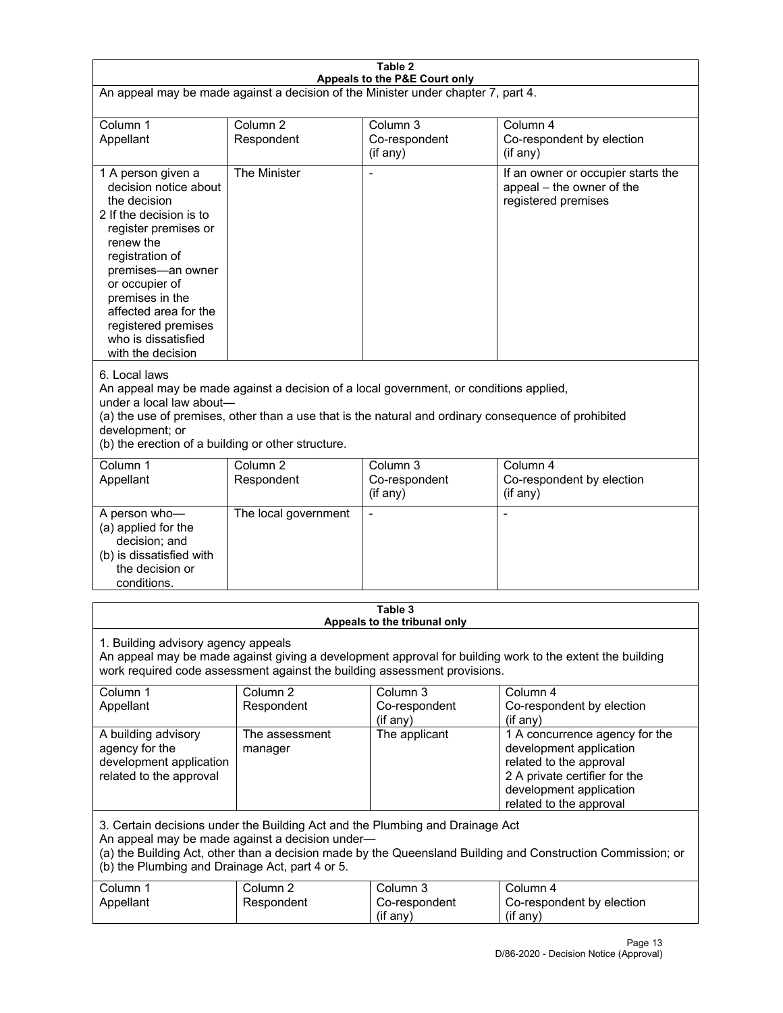| Table 2<br>Appeals to the P&E Court only                                                                                                                                                                                                                                                                             |                                   |                                                  |                                                                                                                                                                             |  |
|----------------------------------------------------------------------------------------------------------------------------------------------------------------------------------------------------------------------------------------------------------------------------------------------------------------------|-----------------------------------|--------------------------------------------------|-----------------------------------------------------------------------------------------------------------------------------------------------------------------------------|--|
| An appeal may be made against a decision of the Minister under chapter 7, part 4.                                                                                                                                                                                                                                    |                                   |                                                  |                                                                                                                                                                             |  |
| Column 1<br>Appellant                                                                                                                                                                                                                                                                                                | Column <sub>2</sub><br>Respondent | Column <sub>3</sub><br>Co-respondent<br>(if any) | Column 4<br>Co-respondent by election<br>(if any)                                                                                                                           |  |
| 1 A person given a<br>decision notice about<br>the decision<br>2 If the decision is to<br>register premises or<br>renew the<br>registration of<br>premises-an owner<br>or occupier of<br>premises in the<br>affected area for the<br>registered premises<br>who is dissatisfied<br>with the decision                 | The Minister                      | Ĭ.                                               | If an owner or occupier starts the<br>appeal - the owner of the<br>registered premises                                                                                      |  |
| 6. Local laws<br>An appeal may be made against a decision of a local government, or conditions applied,<br>under a local law about-<br>(a) the use of premises, other than a use that is the natural and ordinary consequence of prohibited<br>development; or<br>(b) the erection of a building or other structure. |                                   |                                                  |                                                                                                                                                                             |  |
| Column 1<br>Appellant                                                                                                                                                                                                                                                                                                | Column <sub>2</sub><br>Respondent | Column <sub>3</sub><br>Co-respondent<br>(if any) | Column 4<br>Co-respondent by election<br>(if any)                                                                                                                           |  |
| A person who-<br>(a) applied for the<br>decision; and<br>(b) is dissatisfied with<br>the decision or<br>conditions.                                                                                                                                                                                                  | The local government              | L,                                               | $\overline{a}$                                                                                                                                                              |  |
|                                                                                                                                                                                                                                                                                                                      |                                   | Table 3<br>Appeals to the tribunal only          |                                                                                                                                                                             |  |
| 1. Building advisory agency appeals<br>An appeal may be made against giving a development approval for building work to the extent the building<br>work required code assessment against the building assessment provisions.                                                                                         |                                   |                                                  |                                                                                                                                                                             |  |
| Column 1<br>Appellant                                                                                                                                                                                                                                                                                                | Column <sub>2</sub><br>Respondent | Column 3<br>Co-respondent<br>(if any)            | Column 4<br>Co-respondent by election<br>(if any)                                                                                                                           |  |
| A building advisory<br>agency for the<br>development application<br>related to the approval                                                                                                                                                                                                                          | The assessment<br>manager         | The applicant                                    | 1 A concurrence agency for the<br>development application<br>related to the approval<br>2 A private certifier for the<br>development application<br>related to the approval |  |
| 3. Certain decisions under the Building Act and the Plumbing and Drainage Act<br>An appeal may be made against a decision under-<br>(a) the Building Act, other than a decision made by the Queensland Building and Construction Commission; or<br>(b) the Plumbing and Drainage Act, part 4 or 5.                   |                                   |                                                  |                                                                                                                                                                             |  |
| Column 1<br>Appellant                                                                                                                                                                                                                                                                                                | Column <sub>2</sub><br>Respondent | Column 3<br>Co-respondent<br>(if any)            | Column 4<br>Co-respondent by election<br>(if any)                                                                                                                           |  |